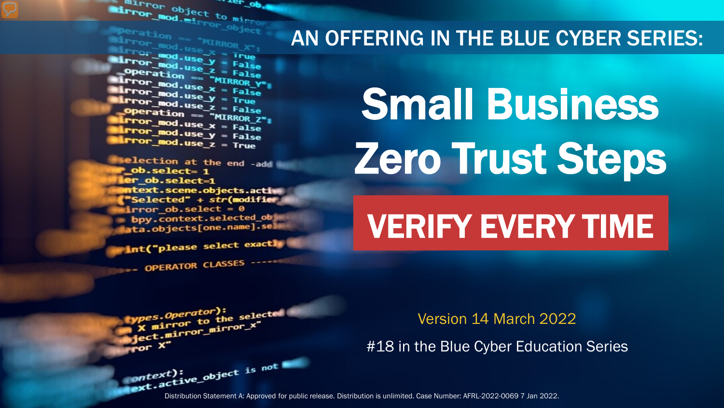The object to minimum object to minimum and the person of Mirror object to mirror . <sub>rer</sub> op

**Marchation == "MIRROR\_X";<br>Mirror\_mod.use\_X = True"<br>Mirror\_mod.use\_X = True" Example 200**<br> **Lind.use\_y** = False<br> **Dinner Mod.use z** = False **Experation == "MIRROR Y"**<br>**Elrror\_mod.use\_x = False**<br>**Elrror\_mod.use v = False**  $\frac{mod \cdot use_x}{irror\_mod \cdot use_x} = False$  $\frac{1}{2}$  From  $\frac{\text{mod use } y}{1 - \text{mod use } z}$  = Frue **Operation == "MIRROR\_Z":**<br><u>IFror mod.use : "MIRROR\_Z</u>"; **From Mod.use\_x**<br>**From Mod.use\_x** = False  $k$  Pror\_mod.use\_ $x = False$ <br> $k$  Pror\_mod.use\_ $y = False$  $Irror_mod.use_y = False$ <br> $Irror_mod.use_z = True$ 

election at the end -add  $ob. select=1$ er\_ob.select=1 ntext.scene.objects.activ "Selected" + str(modifier irror ob.select =  $0$ bpy.context.selected\_obj ata.objects[one.name].sel

int("please select exactly

*nes.Operator*):<br>( mirror to the selected<br>( mirror mirror\_x"

OPERATOR CLASSES

pes.Operator):<br>n to the

x mirror to the sum<br>education introduced vertical property.

#### AN OFFERING IN THE BLUE CYBER SERIES:

# Small Business Zero Trust Steps

## VERIFY EVERY TIME

Version 14 March 2022

#18 in the Blue Cyber Education Series

Distribution Statement A: Approved for public release. Distribution is unlimited. Case Number: AFRL-2022-0069 7 Jan 2022.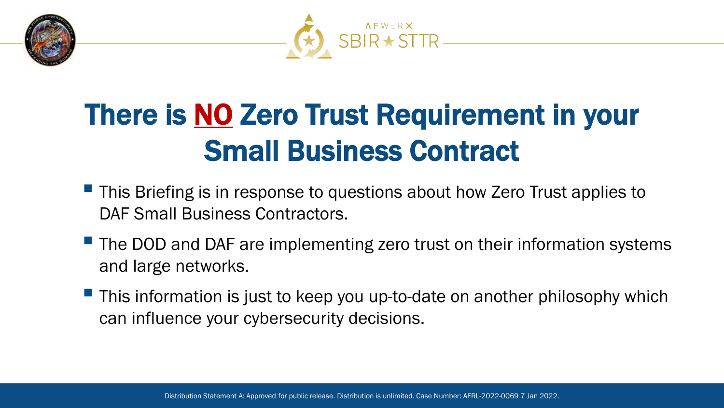



### There is **NO** Zero Trust Requirement in your Small Business Contract

- **This Briefing is in response to questions about how Zero Trust applies to** DAF Small Business Contractors.
- $\blacksquare$  The DOD and DAF are implementing zero trust on their information systems and large networks.
- **This information is just to keep you up-to-date on another philosophy which** can influence your cybersecurity decisions.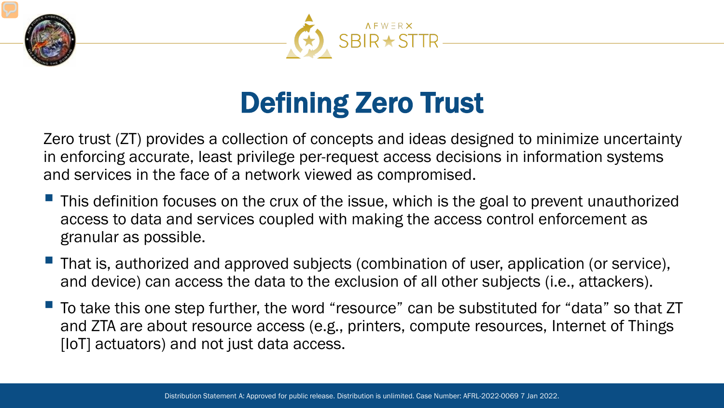



### Defining Zero Trust

Zero trust (ZT) provides a collection of concepts and ideas designed to minimize uncertainty in enforcing accurate, least privilege per-request access decisions in information systems and services in the face of a network viewed as compromised.

- **This definition focuses on the crux of the issue, which is the goal to prevent unauthorized** access to data and services coupled with making the access control enforcement as granular as possible.
- That is, authorized and approved subjects (combination of user, application (or service), and device) can access the data to the exclusion of all other subjects (i.e., attackers).
- To take this one step further, the word "resource" can be substituted for "data" so that ZT and ZTA are about resource access (e.g., printers, compute resources, Internet of Things [IoT] actuators) and not just data access.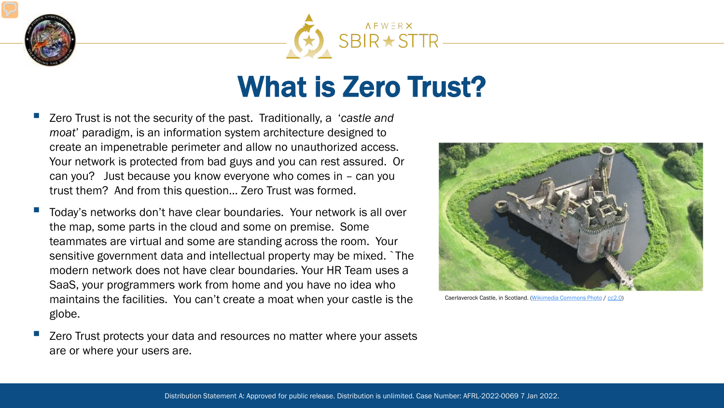



#### What is Zero Trust?

- Zero Trust is not the security of the past. Traditionally, a '*castle and moat*' paradigm, is an information system architecture designed to create an impenetrable perimeter and allow no unauthorized access. Your network is protected from bad guys and you can rest assured. Or can you? Just because you know everyone who comes in – can you trust them? And from this question… Zero Trust was formed.
- Today's networks don't have clear boundaries. Your network is all over the map, some parts in the cloud and some on premise. Some teammates are virtual and some are standing across the room. Your sensitive government data and intellectual property may be mixed. `The modern network does not have clear boundaries. Your HR Team uses a SaaS, your programmers work from home and you have no idea who maintains the facilities. You can't create a moat when your castle is the globe.
- Zero Trust protects your data and resources no matter where your assets are or where your users are.



Caerlaverock Castle, in Scotland. [\(Wikimedia Commons Photo](https://commons.wikimedia.org/wiki/File:Caerlaverock_Castle_from_the_air_1.jpeg#filelinks) / [cc2.0\)](https://creativecommons.org/licenses/by-sa/2.0/deed.en)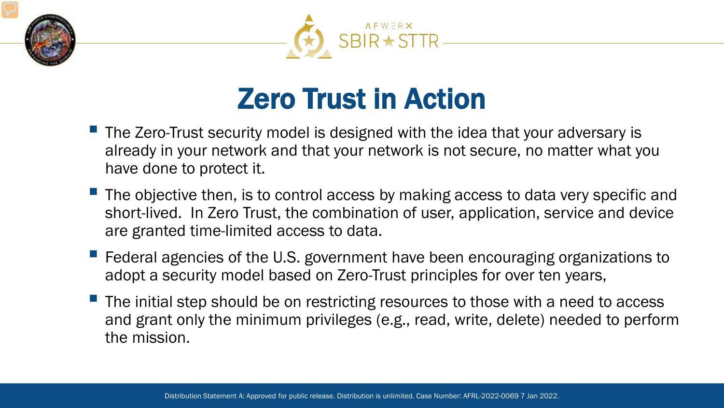



#### Zero Trust in Action

- **The Zero-Trust security model is designed with the idea that your adversary is** already in your network and that your network is not secure, no matter what you have done to protect it.
- **The objective then, is to control access by making access to data very specific and** short-lived. In Zero Trust, the combination of user, application, service and device are granted time-limited access to data.
- **F** Federal agencies of the U.S. government have been encouraging organizations to adopt a security model based on Zero-Trust principles for over ten years,
- $\blacksquare$  The initial step should be on restricting resources to those with a need to access and grant only the minimum privileges (e.g., read, write, delete) needed to perform the mission.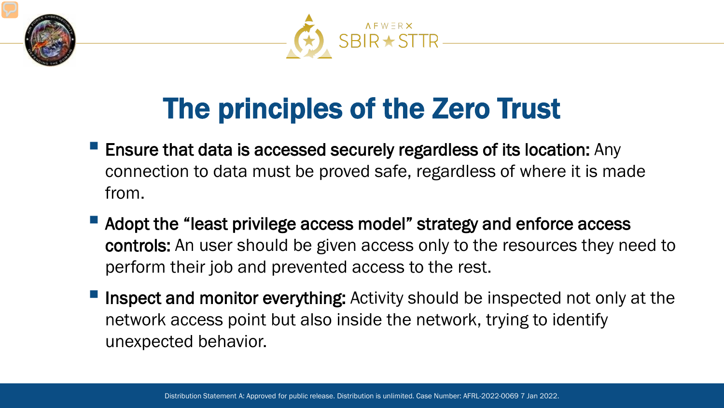



### The principles of the Zero Trust

- **Ensure that data is accessed securely regardless of its location:** Any connection to data must be proved safe, regardless of where it is made from.
- Adopt the "least privilege access model" strategy and enforce access controls: An user should be given access only to the resources they need to perform their job and prevented access to the rest.
- Inspect and monitor everything: Activity should be inspected not only at the network access point but also inside the network, trying to identify unexpected behavior.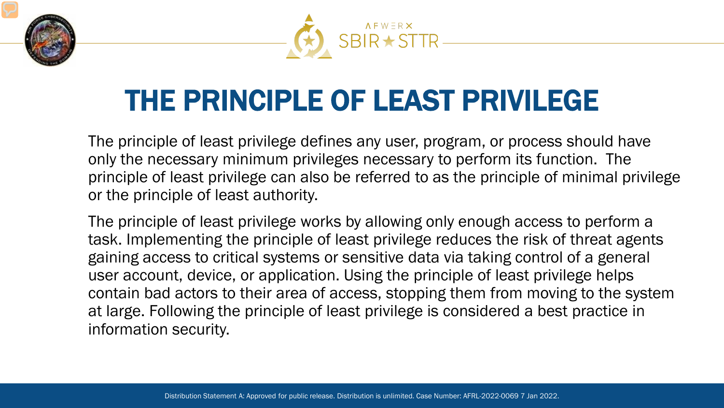



#### THE PRINCIPLE OF LEAST PRIVILEGE

The principle of least privilege defines any user, program, or process should have only the necessary minimum privileges necessary to perform its function. The principle of least privilege can also be referred to as the principle of minimal privilege or the principle of least authority.

The principle of least privilege works by allowing only enough access to perform a task. Implementing the principle of least privilege reduces the risk of threat agents gaining access to critical systems or sensitive data via taking control of a general user account, device, or application. Using the principle of least privilege helps contain bad actors to their area of access, stopping them from moving to the system at large. Following the principle of least privilege is considered a best practice in information security.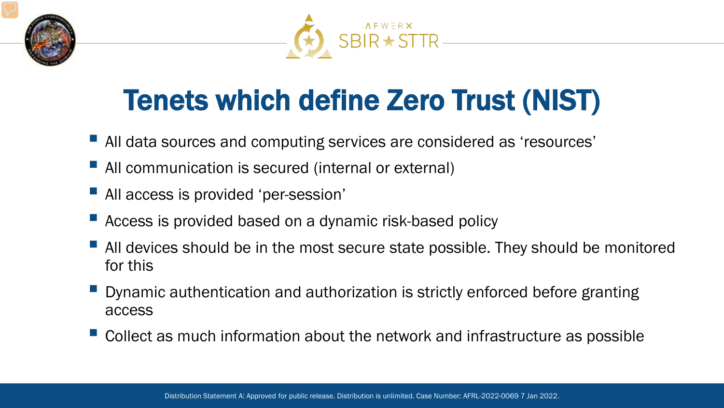



### Tenets which define Zero Trust (NIST)

- All data sources and computing services are considered as 'resources'
- **All communication is secured (internal or external)**
- **All access is provided 'per-session'**
- Access is provided based on a dynamic risk-based policy
- All devices should be in the most secure state possible. They should be monitored for this
- **Dynamic authentication and authorization is strictly enforced before granting** access
- Collect as much information about the network and infrastructure as possible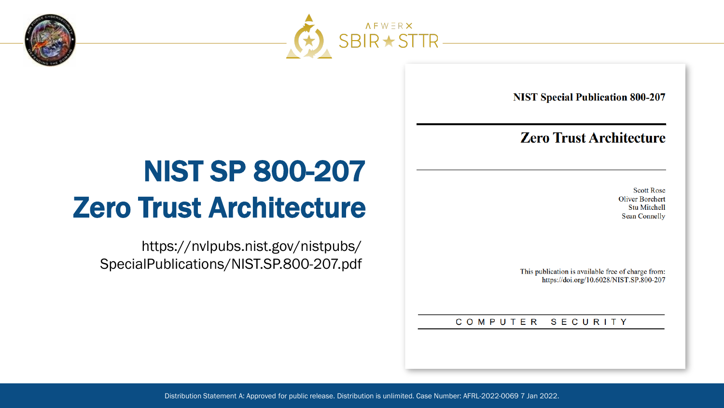



**NIST Special Publication 800-207** 

#### **Zero Trust Architecture**

**Scott Rose Oliver Borchert Stu Mitchell Sean Connelly** 

This publication is available free of charge from: https://doi.org/10.6028/NIST.SP.800-207

COMPUTER SECURITY

### NIST SP 800-207 Zero Trust Architecture

https://nvlpubs.nist.gov/nistpubs/ SpecialPublications/NIST.SP.800-207.pdf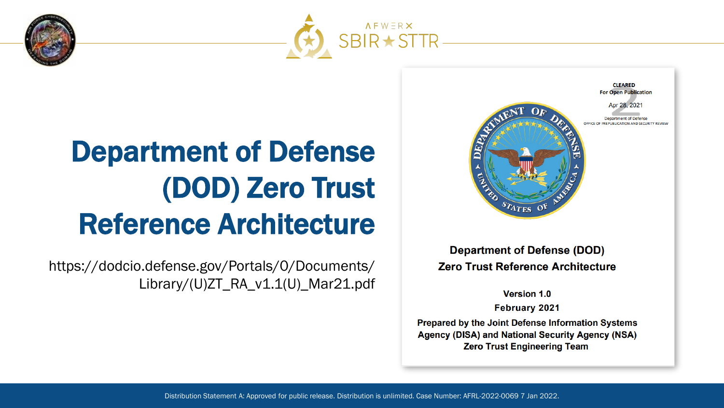



### Department of Defense (DOD) Zero Trust Reference Architecture

https://dodcio.defense.gov/Portals/0/Documents/ Library/(U)ZT\_RA\_v1.1(U)\_Mar21.pdf



**Department of Defense (DOD) Zero Trust Reference Architecture** 

**Version 1.0** 

**February 2021** 

Prepared by the Joint Defense Information Systems Agency (DISA) and National Security Agency (NSA) **Zero Trust Engineering Team**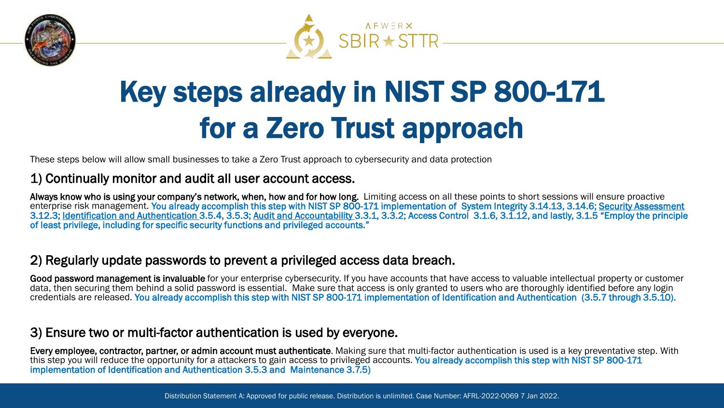



## Key steps already in NIST SP 800-171 for a Zero Trust approach

These steps below will allow small businesses to take a Zero Trust approach to cybersecurity and data protection

#### 1) Continually monitor and audit all user account access.

Always know who is using your company's network, when, how and for how long. Limiting access on all these points to short sessions will ensure proactive enterprise risk management. You already accomplish this step with NIST SP 800-171 implementation of System Integrity 3.14.13, 3.14.6; Security Assessment 3.12.3; Identification and Authentication 3.5.4, 3.5.3; Audit and Accountability 3.3.1, 3.3.2; Access Control 3.1.6, 3.1.12, and lastly, 3.1.5 "Employ the principle of least privilege, including for specific security functions and privileged accounts."

#### 2) Regularly update passwords to prevent a privileged access data breach.

Good password management is invaluable for your enterprise cybersecurity. If you have accounts that have access to valuable intellectual property or customer data, then securing them behind a solid password is essential. Make sure that access is only granted to users who are thoroughly identified before any login credentials are released. You already accomplish this step with NIST SP 800-171 implementation of Identification and Authentication (3.5.7 through 3.5.10).

#### 3) Ensure two or multi-factor authentication is used by everyone.

Every employee, contractor, partner, or admin account must authenticate. Making sure that multi-factor authentication is used is a key preventative step. With this step you will reduce the opportunity for a attackers to gain access to privileged accounts. You already accomplish this step with NIST SP 800-171 implementation of Identification and Authentication 3.5.3 and Maintenance 3.7.5)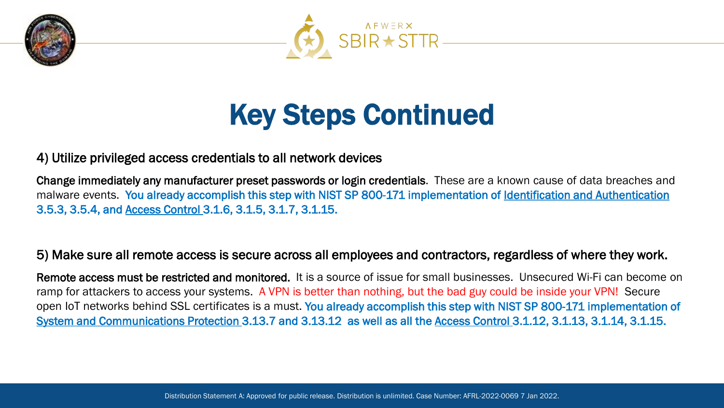



#### Key Steps Continued

#### 4) Utilize privileged access credentials to all network devices

Change immediately any manufacturer preset passwords or login credentials. These are a known cause of data breaches and malware events. You already accomplish this step with NIST SP 800-171 implementation of Identification and Authentication 3.5.3, 3.5.4, and Access Control 3.1.6, 3.1.5, 3.1.7, 3.1.15.

#### 5) Make sure all remote access is secure across all employees and contractors, regardless of where they work.

Remote access must be restricted and monitored. It is a source of issue for small businesses. Unsecured Wi-Fi can become on ramp for attackers to access your systems. A VPN is better than nothing, but the bad guy could be inside your VPN! Secure open IoT networks behind SSL certificates is a must. You already accomplish this step with NIST SP 800-171 implementation of System and Communications Protection 3.13.7 and 3.13.12 as well as all the Access Control 3.1.12, 3.1.13, 3.1.14, 3.1.15.